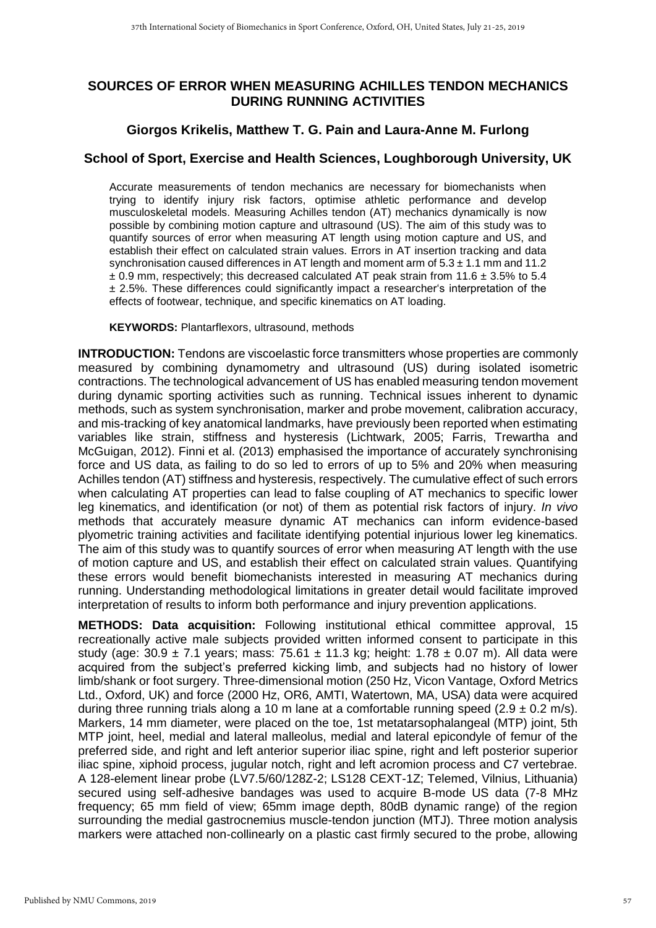## **SOURCES OF ERROR WHEN MEASURING ACHILLES TENDON MECHANICS DURING RUNNING ACTIVITIES**

## **Giorgos Krikelis, Matthew T. G. Pain and Laura-Anne M. Furlong**

## **School of Sport, Exercise and Health Sciences, Loughborough University, UK**

Accurate measurements of tendon mechanics are necessary for biomechanists when trying to identify injury risk factors, optimise athletic performance and develop musculoskeletal models. Measuring Achilles tendon (AT) mechanics dynamically is now possible by combining motion capture and ultrasound (US). The aim of this study was to quantify sources of error when measuring AT length using motion capture and US, and establish their effect on calculated strain values. Errors in AT insertion tracking and data synchronisation caused differences in AT length and moment arm of  $5.3 \pm 1.1$  mm and 11.2  $\pm$  0.9 mm, respectively; this decreased calculated AT peak strain from 11.6  $\pm$  3.5% to 5.4 ± 2.5%. These differences could significantly impact a researcher's interpretation of the effects of footwear, technique, and specific kinematics on AT loading.

**KEYWORDS:** Plantarflexors, ultrasound, methods

**INTRODUCTION:** Tendons are viscoelastic force transmitters whose properties are commonly measured by combining dynamometry and ultrasound (US) during isolated isometric contractions. The technological advancement of US has enabled measuring tendon movement during dynamic sporting activities such as running. Technical issues inherent to dynamic methods, such as system synchronisation, marker and probe movement, calibration accuracy, and mis-tracking of key anatomical landmarks, have previously been reported when estimating variables like strain, stiffness and hysteresis (Lichtwark, 2005; Farris, Trewartha and McGuigan, 2012). Finni et al. (2013) emphasised the importance of accurately synchronising force and US data, as failing to do so led to errors of up to 5% and 20% when measuring Achilles tendon (AT) stiffness and hysteresis, respectively. The cumulative effect of such errors when calculating AT properties can lead to false coupling of AT mechanics to specific lower leg kinematics, and identification (or not) of them as potential risk factors of injury. *In vivo* methods that accurately measure dynamic AT mechanics can inform evidence-based plyometric training activities and facilitate identifying potential injurious lower leg kinematics. The aim of this study was to quantify sources of error when measuring AT length with the use of motion capture and US, and establish their effect on calculated strain values. Quantifying these errors would benefit biomechanists interested in measuring AT mechanics during running. Understanding methodological limitations in greater detail would facilitate improved interpretation of results to inform both performance and injury prevention applications.

**METHODS: Data acquisition:** Following institutional ethical committee approval, 15 recreationally active male subjects provided written informed consent to participate in this study (age:  $30.9 \pm 7.1$  years; mass:  $75.61 \pm 11.3$  kg; height:  $1.78 \pm 0.07$  m). All data were acquired from the subject's preferred kicking limb, and subjects had no history of lower limb/shank or foot surgery. Three-dimensional motion (250 Hz, Vicon Vantage, Oxford Metrics Ltd., Oxford, UK) and force (2000 Hz, OR6, AMTI, Watertown, MA, USA) data were acquired during three running trials along a 10 m lane at a comfortable running speed  $(2.9 \pm 0.2 \text{ m/s})$ . Markers, 14 mm diameter, were placed on the toe, 1st metatarsophalangeal (MTP) joint, 5th MTP joint, heel, medial and lateral malleolus, medial and lateral epicondyle of femur of the preferred side, and right and left anterior superior iliac spine, right and left posterior superior iliac spine, xiphoid process, jugular notch, right and left acromion process and C7 vertebrae. A 128-element linear probe (LV7.5/60/128Z-2; LS128 CEXT-1Z; Telemed, Vilnius, Lithuania) secured using self-adhesive bandages was used to acquire B-mode US data (7-8 MHz frequency; 65 mm field of view; 65mm image depth, 80dB dynamic range) of the region surrounding the medial gastrocnemius muscle-tendon junction (MTJ). Three motion analysis markers were attached non-collinearly on a plastic cast firmly secured to the probe, allowing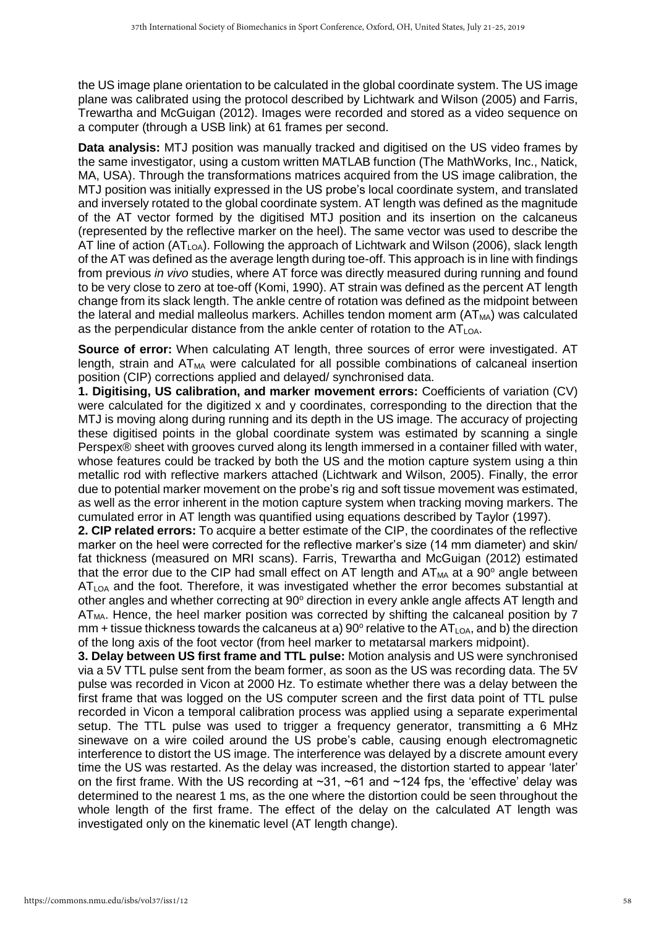the US image plane orientation to be calculated in the global coordinate system. The US image plane was calibrated using the protocol described by Lichtwark and Wilson (2005) and Farris, Trewartha and McGuigan (2012). Images were recorded and stored as a video sequence on a computer (through a USB link) at 61 frames per second.

**Data analysis:** MTJ position was manually tracked and digitised on the US video frames by the same investigator, using a custom written MATLAB function (The MathWorks, Inc., Natick, MA, USA). Through the transformations matrices acquired from the US image calibration, the MTJ position was initially expressed in the US probe's local coordinate system, and translated and inversely rotated to the global coordinate system. AT length was defined as the magnitude of the AT vector formed by the digitised MTJ position and its insertion on the calcaneus (represented by the reflective marker on the heel). The same vector was used to describe the AT line of action  $(AT<sub>LOA</sub>)$ . Following the approach of Lichtwark and Wilson (2006), slack length of the AT was defined as the average length during toe-off. This approach is in line with findings from previous *in vivo* studies, where AT force was directly measured during running and found to be very close to zero at toe-off (Komi, 1990). AT strain was defined as the percent AT length change from its slack length. The ankle centre of rotation was defined as the midpoint between the lateral and medial malleolus markers. Achilles tendon moment arm  $(AT_{MA})$  was calculated as the perpendicular distance from the ankle center of rotation to the  $AT<sub>LOA</sub>$ .

**Source of error:** When calculating AT length, three sources of error were investigated. AT length, strain and  $AT_{MA}$  were calculated for all possible combinations of calcaneal insertion position (CIP) corrections applied and delayed/ synchronised data.

**1. Digitising, US calibration, and marker movement errors:** Coefficients of variation (CV) were calculated for the digitized x and y coordinates, corresponding to the direction that the MTJ is moving along during running and its depth in the US image. The accuracy of projecting these digitised points in the global coordinate system was estimated by scanning a single Perspex® sheet with grooves curved along its length immersed in a container filled with water, whose features could be tracked by both the US and the motion capture system using a thin metallic rod with reflective markers attached (Lichtwark and Wilson, 2005). Finally, the error due to potential marker movement on the probe's rig and soft tissue movement was estimated, as well as the error inherent in the motion capture system when tracking moving markers. The cumulated error in AT length was quantified using equations described by Taylor (1997).

**2. CIP related errors:** To acquire a better estimate of the CIP, the coordinates of the reflective marker on the heel were corrected for the reflective marker's size (14 mm diameter) and skin/ fat thickness (measured on MRI scans). Farris, Trewartha and McGuigan (2012) estimated that the error due to the CIP had small effect on AT length and  $AT_{MA}$  at a 90 $^{\circ}$  angle between AT<sub>LOA</sub> and the foot. Therefore, it was investigated whether the error becomes substantial at other angles and whether correcting at  $90^{\circ}$  direction in every ankle angle affects AT length and  $AT<sub>MA</sub>$ . Hence, the heel marker position was corrected by shifting the calcaneal position by 7 mm + tissue thickness towards the calcaneus at a) 90 $^{\circ}$  relative to the AT<sub>LOA</sub>, and b) the direction of the long axis of the foot vector (from heel marker to metatarsal markers midpoint).

**3. Delay between US first frame and TTL pulse:** Motion analysis and US were synchronised via a 5V TTL pulse sent from the beam former, as soon as the US was recording data. The 5V pulse was recorded in Vicon at 2000 Hz. To estimate whether there was a delay between the first frame that was logged on the US computer screen and the first data point of TTL pulse recorded in Vicon a temporal calibration process was applied using a separate experimental setup. The TTL pulse was used to trigger a frequency generator, transmitting a 6 MHz sinewave on a wire coiled around the US probe's cable, causing enough electromagnetic interference to distort the US image. The interference was delayed by a discrete amount every time the US was restarted. As the delay was increased, the distortion started to appear 'later' on the first frame. With the US recording at  $\sim$ 31,  $\sim$ 61 and  $\sim$ 124 fps, the 'effective' delay was determined to the nearest 1 ms, as the one where the distortion could be seen throughout the whole length of the first frame. The effect of the delay on the calculated AT length was investigated only on the kinematic level (AT length change).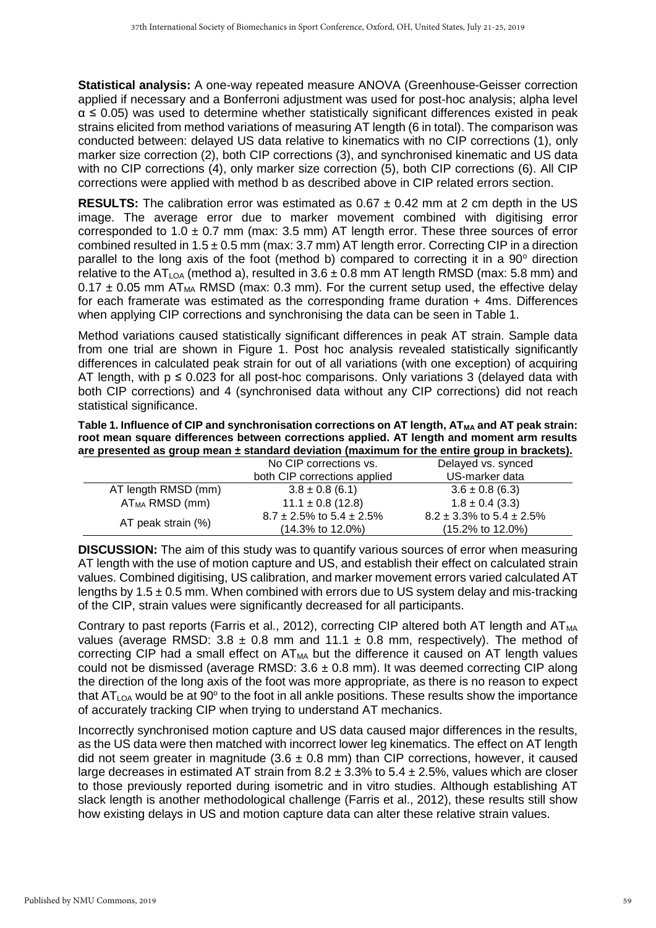**Statistical analysis:** A one-way repeated measure ANOVA (Greenhouse-Geisser correction applied if necessary and a Bonferroni adjustment was used for post-hoc analysis; alpha level  $\alpha \leq 0.05$ ) was used to determine whether statistically significant differences existed in peak strains elicited from method variations of measuring AT length (6 in total). The comparison was conducted between: delayed US data relative to kinematics with no CIP corrections (1), only marker size correction (2), both CIP corrections (3), and synchronised kinematic and US data with no CIP corrections (4), only marker size correction (5), both CIP corrections (6). All CIP corrections were applied with method b as described above in CIP related errors section.

**RESULTS:** The calibration error was estimated as 0.67 ± 0.42 mm at 2 cm depth in the US image. The average error due to marker movement combined with digitising error corresponded to  $1.0 \pm 0.7$  mm (max: 3.5 mm) AT length error. These three sources of error combined resulted in  $1.5 \pm 0.5$  mm (max: 3.7 mm) AT length error. Correcting CIP in a direction parallel to the long axis of the foot (method b) compared to correcting it in a  $90^\circ$  direction relative to the AT<sub>LOA</sub> (method a), resulted in  $3.6 \pm 0.8$  mm AT length RMSD (max: 5.8 mm) and  $0.17 \pm 0.05$  mm AT<sub>MA</sub> RMSD (max: 0.3 mm). For the current setup used, the effective delay for each framerate was estimated as the corresponding frame duration + 4ms. Differences when applying CIP corrections and synchronising the data can be seen in Table 1.

Method variations caused statistically significant differences in peak AT strain. Sample data from one trial are shown in Figure 1. Post hoc analysis revealed statistically significantly differences in calculated peak strain for out of all variations (with one exception) of acquiring AT length, with  $p \le 0.023$  for all post-hoc comparisons. Only variations 3 (delayed data with both CIP corrections) and 4 (synchronised data without any CIP corrections) did not reach statistical significance.

Table 1. Influence of CIP and synchronisation corrections on AT length, AT<sub>MA</sub> and AT peak strain: **root mean square differences between corrections applied. AT length and moment arm results are presented as group mean ± standard deviation (maximum for the entire group in brackets).** 

|                     | No CIP corrections vs.             | Delayed vs. synced                 |
|---------------------|------------------------------------|------------------------------------|
|                     | both CIP corrections applied       | US-marker data                     |
| AT length RMSD (mm) | $3.8 \pm 0.8$ (6.1)                | $3.6 \pm 0.8$ (6.3)                |
| $AT_{MA}$ RMSD (mm) | $11.1 \pm 0.8$ (12.8)              | $1.8 \pm 0.4$ (3.3)                |
| AT peak strain (%)  | $8.7 \pm 2.5\%$ to $5.4 \pm 2.5\%$ | $8.2 \pm 3.3\%$ to $5.4 \pm 2.5\%$ |
|                     | $(14.3\% \text{ to } 12.0\%)$      | (15.2% to 12.0%)                   |

**DISCUSSION:** The aim of this study was to quantify various sources of error when measuring AT length with the use of motion capture and US, and establish their effect on calculated strain values. Combined digitising, US calibration, and marker movement errors varied calculated AT lengths by  $1.5 \pm 0.5$  mm. When combined with errors due to US system delay and mis-tracking of the CIP, strain values were significantly decreased for all participants.

Contrary to past reports (Farris et al., 2012), correcting CIP altered both AT length and  $AT_{MA}$ values (average RMSD:  $3.8 \pm 0.8$  mm and  $11.1 \pm 0.8$  mm, respectively). The method of correcting CIP had a small effect on  $AT_{MA}$  but the difference it caused on  $AT$  length values could not be dismissed (average RMSD:  $3.6 \pm 0.8$  mm). It was deemed correcting CIP along the direction of the long axis of the foot was more appropriate, as there is no reason to expect that  $AT<sub>LOA</sub>$  would be at 90 $^{\circ}$  to the foot in all ankle positions. These results show the importance of accurately tracking CIP when trying to understand AT mechanics.

Incorrectly synchronised motion capture and US data caused major differences in the results, as the US data were then matched with incorrect lower leg kinematics. The effect on AT length did not seem greater in magnitude  $(3.6 \pm 0.8 \text{ mm})$  than CIP corrections, however, it caused large decreases in estimated AT strain from  $8.2 \pm 3.3\%$  to  $5.4 \pm 2.5\%$ , values which are closer to those previously reported during isometric and in vitro studies. Although establishing AT slack length is another methodological challenge (Farris et al., 2012), these results still show how existing delays in US and motion capture data can alter these relative strain values.